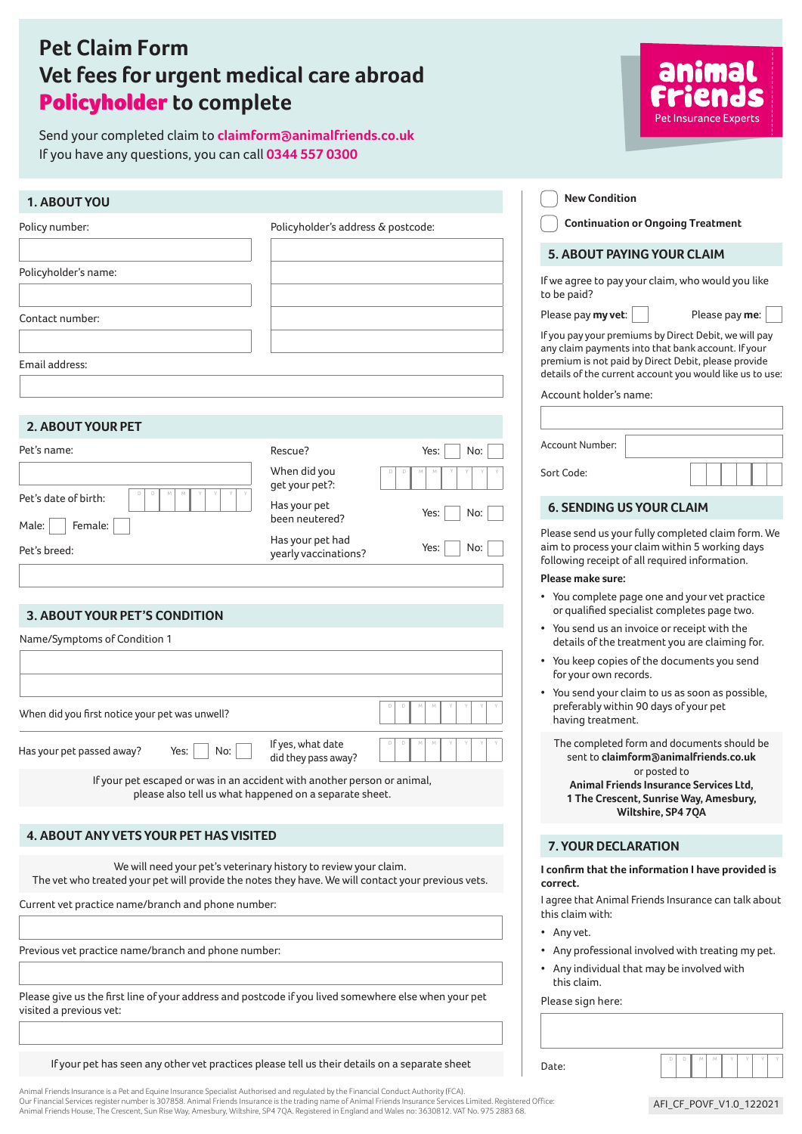# **Pet Claim Form Vet fees for urgent medical care abroad** Policyholder **to complete**

Send your completed claim to **claimform@animalfriends.co.uk**  If you have any questions, you can call **0344 557 0300**



Animal Friends Insurance is a Pet and Equine Insurance Specialist Authorised and regulated by the Financial Conduct Authority (FCA).<br>Our Financial Services register number is 307858. Animal Friends Insurance is the trading Animal Friends House, The Crescent, Sun Rise Way, Amesbury, Wiltshire, SP4 7QA. Registered in England and Wales no: 3630812. VAT No. 975 2883 68.

AFI\_CF\_POVF\_V1.0\_122021